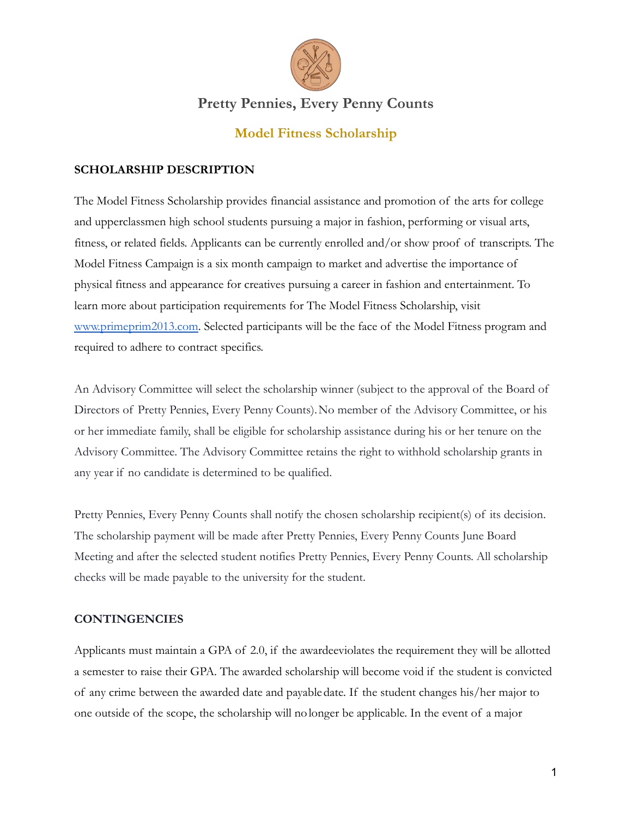

## **Pretty Pennies, Every Penny Counts**

## **Model Fitness Scholarship**

#### **SCHOLARSHIP DESCRIPTION**

The Model Fitness Scholarship provides financial assistance and promotion of the arts for college and upperclassmen high school students pursuing a major in fashion, performing or visual arts, fitness, or related fields. Applicants can be currently enrolled and/or show proof of transcripts. The Model Fitness Campaign is a six month campaign to market and advertise the importance of physical fitness and appearance for creatives pursuing a career in fashion and entertainment. To learn more about participation requirements for The Model Fitness Scholarship, visit [www.primeprim2013.com](http://www.primeprim2013.com). Selected participants will be the face of the Model Fitness program and required to adhere to contract specifics.

An Advisory Committee will select the scholarship winner (subject to the approval of the Board of Directors of Pretty Pennies, Every Penny Counts).No member of the Advisory Committee, or his or her immediate family, shall be eligible for scholarship assistance during his or her tenure on the Advisory Committee. The Advisory Committee retains the right to withhold scholarship grants in any year if no candidate is determined to be qualified.

Pretty Pennies, Every Penny Counts shall notify the chosen scholarship recipient(s) of its decision. The scholarship payment will be made after Pretty Pennies, Every Penny Counts June Board Meeting and after the selected student notifies Pretty Pennies, Every Penny Counts. All scholarship checks will be made payable to the university for the student.

#### **CONTINGENCIES**

Applicants must maintain a GPA of 2.0, if the awardeeviolates the requirement they will be allotted a semester to raise their GPA. The awarded scholarship will become void if the student is convicted of any crime between the awarded date and payabledate. If the student changes his/her major to one outside of the scope, the scholarship will nolonger be applicable. In the event of a major